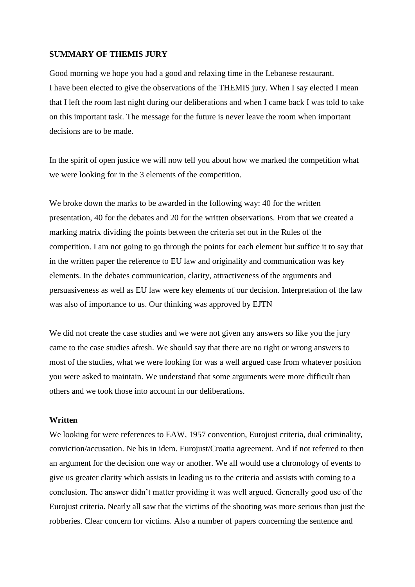### **SUMMARY OF THEMIS JURY**

Good morning we hope you had a good and relaxing time in the Lebanese restaurant. I have been elected to give the observations of the THEMIS jury. When I say elected I mean that I left the room last night during our deliberations and when I came back I was told to take on this important task. The message for the future is never leave the room when important decisions are to be made.

In the spirit of open justice we will now tell you about how we marked the competition what we were looking for in the 3 elements of the competition.

We broke down the marks to be awarded in the following way: 40 for the written presentation, 40 for the debates and 20 for the written observations. From that we created a marking matrix dividing the points between the criteria set out in the Rules of the competition. I am not going to go through the points for each element but suffice it to say that in the written paper the reference to EU law and originality and communication was key elements. In the debates communication, clarity, attractiveness of the arguments and persuasiveness as well as EU law were key elements of our decision. Interpretation of the law was also of importance to us. Our thinking was approved by EJTN

We did not create the case studies and we were not given any answers so like you the jury came to the case studies afresh. We should say that there are no right or wrong answers to most of the studies, what we were looking for was a well argued case from whatever position you were asked to maintain. We understand that some arguments were more difficult than others and we took those into account in our deliberations.

#### **Written**

We looking for were references to EAW, 1957 convention, Eurojust criteria, dual criminality, conviction/accusation. Ne bis in idem. Eurojust/Croatia agreement. And if not referred to then an argument for the decision one way or another. We all would use a chronology of events to give us greater clarity which assists in leading us to the criteria and assists with coming to a conclusion. The answer didn't matter providing it was well argued. Generally good use of the Eurojust criteria. Nearly all saw that the victims of the shooting was more serious than just the robberies. Clear concern for victims. Also a number of papers concerning the sentence and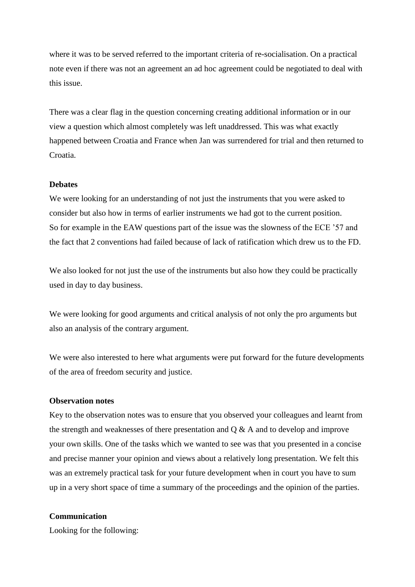where it was to be served referred to the important criteria of re-socialisation. On a practical note even if there was not an agreement an ad hoc agreement could be negotiated to deal with this issue.

There was a clear flag in the question concerning creating additional information or in our view a question which almost completely was left unaddressed. This was what exactly happened between Croatia and France when Jan was surrendered for trial and then returned to Croatia.

#### **Debates**

We were looking for an understanding of not just the instruments that you were asked to consider but also how in terms of earlier instruments we had got to the current position. So for example in the EAW questions part of the issue was the slowness of the ECE '57 and the fact that 2 conventions had failed because of lack of ratification which drew us to the FD.

We also looked for not just the use of the instruments but also how they could be practically used in day to day business.

We were looking for good arguments and critical analysis of not only the pro arguments but also an analysis of the contrary argument.

We were also interested to here what arguments were put forward for the future developments of the area of freedom security and justice.

#### **Observation notes**

Key to the observation notes was to ensure that you observed your colleagues and learnt from the strength and weaknesses of there presentation and Q & A and to develop and improve your own skills. One of the tasks which we wanted to see was that you presented in a concise and precise manner your opinion and views about a relatively long presentation. We felt this was an extremely practical task for your future development when in court you have to sum up in a very short space of time a summary of the proceedings and the opinion of the parties.

### **Communication**

Looking for the following: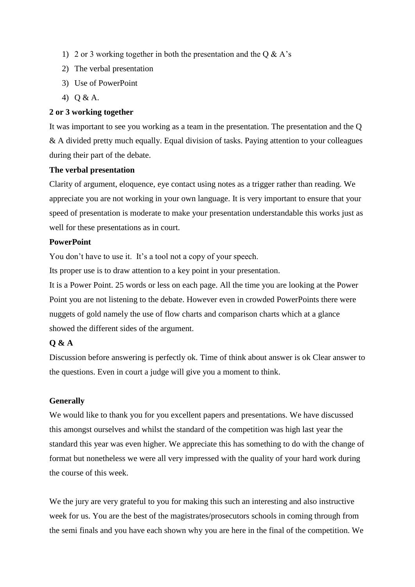- 1) 2 or 3 working together in both the presentation and the Q  $\&$  A's
- 2) The verbal presentation
- 3) Use of PowerPoint
- 4) Q & A.

### **2 or 3 working together**

It was important to see you working as a team in the presentation. The presentation and the Q & A divided pretty much equally. Equal division of tasks. Paying attention to your colleagues during their part of the debate.

## **The verbal presentation**

Clarity of argument, eloquence, eye contact using notes as a trigger rather than reading. We appreciate you are not working in your own language. It is very important to ensure that your speed of presentation is moderate to make your presentation understandable this works just as well for these presentations as in court.

## **PowerPoint**

You don't have to use it. It's a tool not a copy of your speech.

Its proper use is to draw attention to a key point in your presentation.

It is a Power Point. 25 words or less on each page. All the time you are looking at the Power Point you are not listening to the debate. However even in crowded PowerPoints there were nuggets of gold namely the use of flow charts and comparison charts which at a glance showed the different sides of the argument.

# **Q & A**

Discussion before answering is perfectly ok. Time of think about answer is ok Clear answer to the questions. Even in court a judge will give you a moment to think.

# **Generally**

We would like to thank you for you excellent papers and presentations. We have discussed this amongst ourselves and whilst the standard of the competition was high last year the standard this year was even higher. We appreciate this has something to do with the change of format but nonetheless we were all very impressed with the quality of your hard work during the course of this week.

We the jury are very grateful to you for making this such an interesting and also instructive week for us. You are the best of the magistrates/prosecutors schools in coming through from the semi finals and you have each shown why you are here in the final of the competition. We